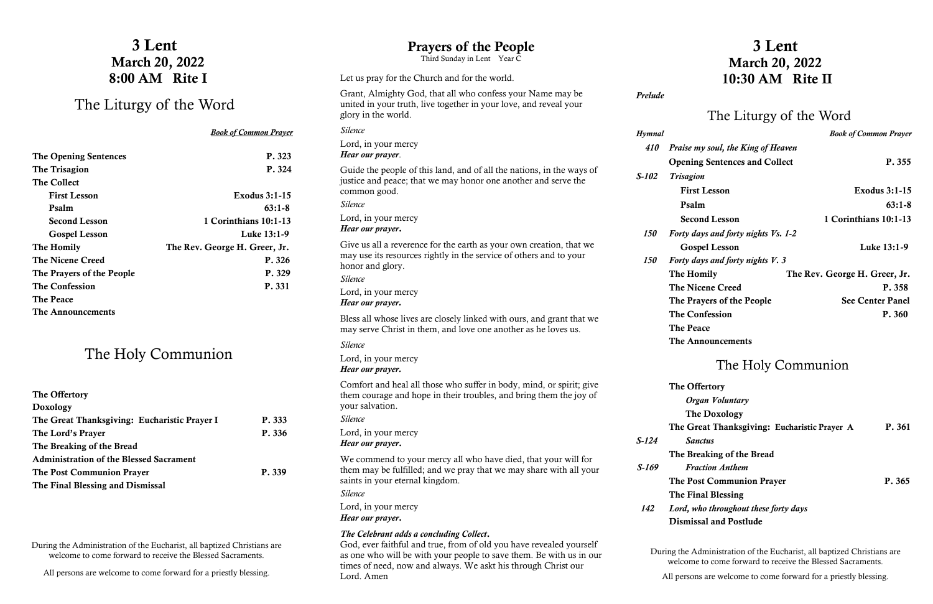# 3 Lent March 20, 2022 8:00 AM Rite I

# The Liturgy of the Word

## 3 Lent March 20, 2022 10:30 AM Rite II

|                              | <b>Book of Common Prayer</b>  |
|------------------------------|-------------------------------|
| <b>The Opening Sentences</b> | P. 323                        |
| The Trisagion                | P. 324                        |
| <b>The Collect</b>           |                               |
| <b>First Lesson</b>          | <b>Exodus 3:1-15</b>          |
| Psalm                        | $63:1-8$                      |
| <b>Second Lesson</b>         | 1 Corinthians 10:1-13         |
| <b>Gospel Lesson</b>         | Luke 13:1-9                   |
| The Homily                   | The Rev. George H. Greer, Jr. |
| The Nicene Creed             | P. 326                        |
| The Prayers of the People    | P. 329                        |
| <b>The Confession</b>        | P. 331                        |
| <b>The Peace</b>             |                               |
| The Announcements            |                               |

During the Administration of the Eucharist, all baptized Christians are welcome to come forward to receive the Blessed Sacraments.

All persons are welcome to come forward for a priestly blessing.

## The Holy Communion

| The Offertory                                  |        |
|------------------------------------------------|--------|
| Doxology                                       |        |
| The Great Thanksgiving: Eucharistic Prayer I   | P. 333 |
| The Lord's Prayer                              | P. 336 |
| The Breaking of the Bread                      |        |
| <b>Administration of the Blessed Sacrament</b> |        |
| <b>The Post Communion Prayer</b>               | P. 339 |
| The Final Blessing and Dismissal               |        |

| Grant, Almighty God, that all who confess your Name may be<br>united in your truth, live together in your love, and reveal your         | Prelude           |                                              |                               |                              |
|-----------------------------------------------------------------------------------------------------------------------------------------|-------------------|----------------------------------------------|-------------------------------|------------------------------|
| glory in the world.                                                                                                                     |                   | The Liturgy of the Word                      |                               |                              |
| <i>Silence</i>                                                                                                                          | Hymnal            |                                              |                               | <b>Book of Common Prayer</b> |
| Lord, in your mercy<br>Hear our prayer.                                                                                                 | <i><b>410</b></i> | <b>Praise my soul, the King of Heaven</b>    |                               |                              |
|                                                                                                                                         |                   | <b>Opening Sentences and Collect</b>         |                               | P. 355                       |
| Guide the people of this land, and of all the nations, in the ways of<br>justice and peace; that we may honor one another and serve the | $S-102$           | <b>Trisagion</b>                             |                               |                              |
| common good.                                                                                                                            |                   | <b>First Lesson</b>                          |                               | <b>Exodus 3:1-15</b>         |
| <b>Silence</b>                                                                                                                          |                   | Psalm                                        |                               | $63:1-8$                     |
| Lord, in your mercy                                                                                                                     |                   | <b>Second Lesson</b>                         |                               | 1 Corinthians 10:1-13        |
| Hear our prayer.                                                                                                                        | <i><b>150</b></i> | Forty days and forty nights Vs. 1-2          |                               |                              |
| Give us all a reverence for the earth as your own creation, that we                                                                     |                   | <b>Gospel Lesson</b>                         |                               | Luke 13:1-9                  |
| may use its resources rightly in the service of others and to your<br>honor and glory.                                                  | <i>150</i>        | Forty days and forty nights V. 3             |                               |                              |
| <i>Silence</i>                                                                                                                          |                   | The Homily                                   | The Rev. George H. Greer, Jr. |                              |
| Lord, in your mercy                                                                                                                     |                   | <b>The Nicene Creed</b>                      |                               | P. 358                       |
| Hear our prayer.                                                                                                                        |                   | The Prayers of the People                    |                               | <b>See Center Panel</b>      |
| Bless all whose lives are closely linked with ours, and grant that we                                                                   |                   | <b>The Confession</b>                        |                               | P. 360                       |
| may serve Christ in them, and love one another as he loves us.                                                                          |                   | <b>The Peace</b>                             |                               |                              |
| <i>Silence</i>                                                                                                                          |                   | <b>The Announcements</b>                     |                               |                              |
| Lord, in your mercy<br>Hear our prayer.                                                                                                 |                   |                                              | The Holy Communion            |                              |
| Comfort and heal all those who suffer in body, mind, or spirit; give                                                                    |                   | The Offertory                                |                               |                              |
| them courage and hope in their troubles, and bring them the joy of                                                                      |                   | Organ Voluntary                              |                               |                              |
| your salvation.<br><b>Silence</b>                                                                                                       |                   | The Doxology                                 |                               |                              |
| Lord, in your mercy                                                                                                                     |                   | The Great Thanksgiving: Eucharistic Prayer A |                               | P. 361                       |
| Hear our prayer.                                                                                                                        | $S-124$           | <b>Sanctus</b>                               |                               |                              |
| We commend to your mercy all who have died, that your will for                                                                          |                   | The Breaking of the Bread                    |                               |                              |
| them may be fulfilled; and we pray that we may share with all your                                                                      | $S-169$           | <b>Fraction Anthem</b>                       |                               |                              |
| saints in your eternal kingdom.                                                                                                         |                   | <b>The Post Communion Prayer</b>             |                               | P. 365                       |
| <b>Silence</b>                                                                                                                          |                   | The Final Blessing                           |                               |                              |
| Lord, in your mercy<br>Hear our prayer.                                                                                                 | 142               | Lord, who throughout these forty days        |                               |                              |
|                                                                                                                                         |                   | <b>Dismissal and Postlude</b>                |                               |                              |
| The Celebrant adds a concluding Collect.<br>Cod ver faithful and two from of ald you have revealed verwelf                              |                   |                                              |                               |                              |

During the Administration of the Eucharist, all baptized Christians are welcome to come forward to receive the Blessed Sacraments.

All persons are welcome to come forward for a priestly blessing.

## Prayers of the People

Third Sunday in Lent Year C

Let us pray for the Church and for the world.

God, ever faithful and true, from of old you have revealed yourself as one who will be with your people to save them. Be with us in our times of need, now and always. We askt his through Christ our Lord. Amen